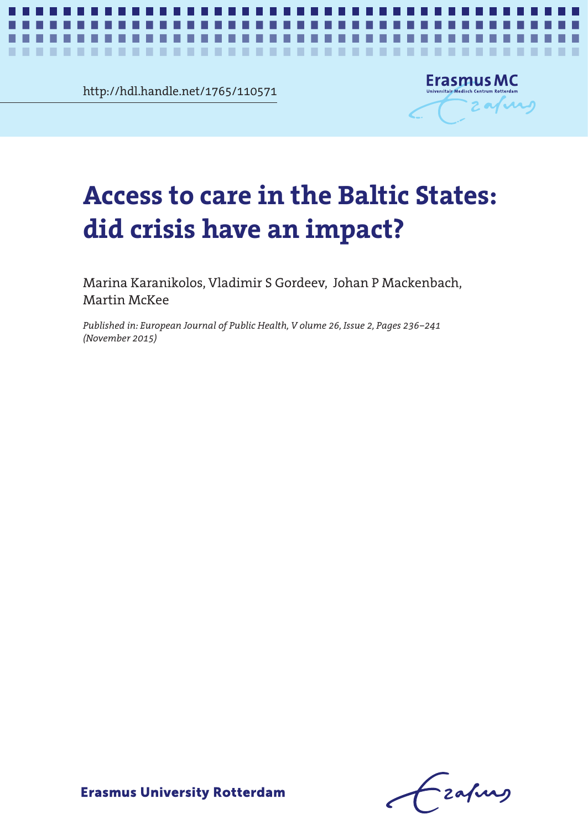http://hdl.handle.net/1765/110571

..................

٠



*Access to care in the Baltic States* **1**

# Access to care in the Baltic States: **did crisis have an impact?**

. . . .

Marina Karanikolos, Vladimir S Gordeev, Johan P Mackenbach, Martin McKee

*Published in: European Journal of Public Health, V olume 26, Issue 2, Pages 236–241 (November 2015)*

- zafung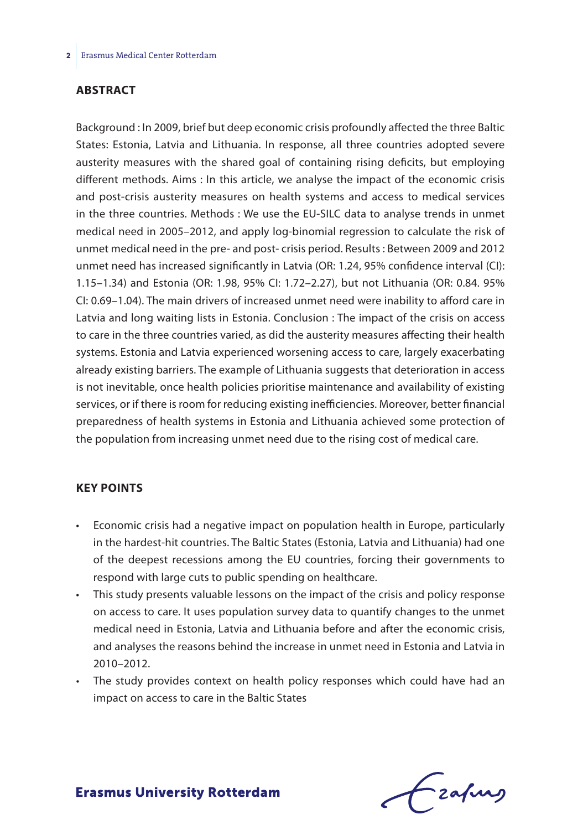### **Abstract**

Background : In 2009, brief but deep economic crisis profoundly affected the three Baltic States: Estonia, Latvia and Lithuania. In response, all three countries adopted severe austerity measures with the shared goal of containing rising deficits, but employing different methods. Aims : In this article, we analyse the impact of the economic crisis and post-crisis austerity measures on health systems and access to medical services in the three countries. Methods : We use the EU-SILC data to analyse trends in unmet medical need in 2005–2012, and apply log-binomial regression to calculate the risk of unmet medical need in the pre- and post- crisis period. Results : Between 2009 and 2012 unmet need has increased significantly in Latvia (OR: 1.24, 95% confidence interval (CI): 1.15–1.34) and Estonia (OR: 1.98, 95% CI: 1.72–2.27), but not Lithuania (OR: 0.84. 95% CI: 0.69–1.04). The main drivers of increased unmet need were inability to afford care in Latvia and long waiting lists in Estonia. Conclusion : The impact of the crisis on access to care in the three countries varied, as did the austerity measures affecting their health systems. Estonia and Latvia experienced worsening access to care, largely exacerbating already existing barriers. The example of Lithuania suggests that deterioration in access is not inevitable, once health policies prioritise maintenance and availability of existing services, or if there is room for reducing existing inefficiencies. Moreover, better financial preparedness of health systems in Estonia and Lithuania achieved some protection of the population from increasing unmet need due to the rising cost of medical care.

#### **Key points**

- • Economic crisis had a negative impact on population health in Europe, particularly in the hardest-hit countries. The Baltic States (Estonia, Latvia and Lithuania) had one of the deepest recessions among the EU countries, forcing their governments to respond with large cuts to public spending on healthcare.
- This study presents valuable lessons on the impact of the crisis and policy response on access to care. It uses population survey data to quantify changes to the unmet medical need in Estonia, Latvia and Lithuania before and after the economic crisis, and analyses the reasons behind the increase in unmet need in Estonia and Latvia in 2010–2012.
- The study provides context on health policy responses which could have had an impact on access to care in the Baltic States

frafing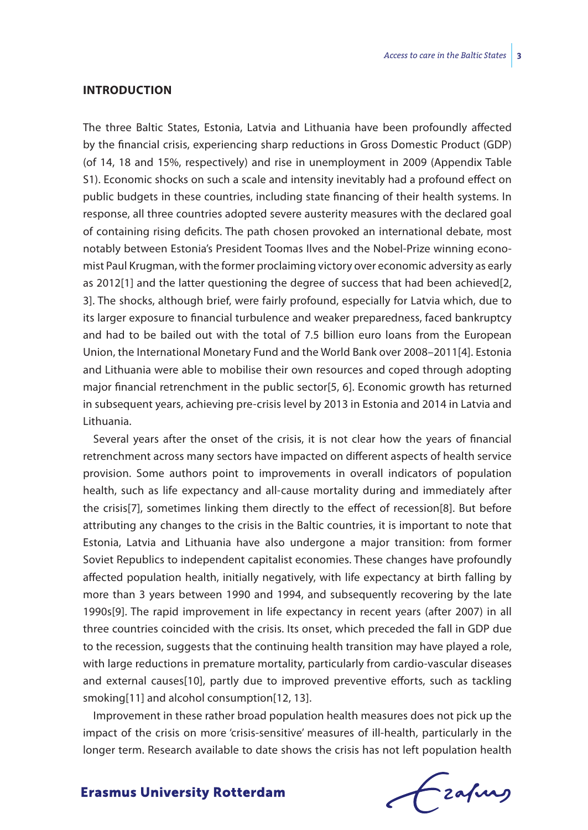#### **Introduction**

The three Baltic States, Estonia, Latvia and Lithuania have been profoundly affected by the financial crisis, experiencing sharp reductions in Gross Domestic Product (GDP) (of 14, 18 and 15%, respectively) and rise in unemployment in 2009 (Appendix Table S1). Economic shocks on such a scale and intensity inevitably had a profound effect on public budgets in these countries, including state financing of their health systems. In response, all three countries adopted severe austerity measures with the declared goal of containing rising deficits. The path chosen provoked an international debate, most notably between Estonia's President Toomas Ilves and the Nobel-Prize winning economist Paul Krugman, with the former proclaiming victory over economic adversity as early as 2012[1] and the latter questioning the degree of success that had been achieved[2, 3]. The shocks, although brief, were fairly profound, especially for Latvia which, due to its larger exposure to financial turbulence and weaker preparedness, faced bankruptcy and had to be bailed out with the total of 7.5 billion euro loans from the European Union, the International Monetary Fund and the World Bank over 2008–2011[4]. Estonia and Lithuania were able to mobilise their own resources and coped through adopting major financial retrenchment in the public sector[5, 6]. Economic growth has returned in subsequent years, achieving pre-crisis level by 2013 in Estonia and 2014 in Latvia and Lithuania.

Several years after the onset of the crisis, it is not clear how the years of financial retrenchment across many sectors have impacted on different aspects of health service provision. Some authors point to improvements in overall indicators of population health, such as life expectancy and all-cause mortality during and immediately after the crisis[7], sometimes linking them directly to the effect of recession[8]. But before attributing any changes to the crisis in the Baltic countries, it is important to note that Estonia, Latvia and Lithuania have also undergone a major transition: from former Soviet Republics to independent capitalist economies. These changes have profoundly affected population health, initially negatively, with life expectancy at birth falling by more than 3 years between 1990 and 1994, and subsequently recovering by the late 1990s[9]. The rapid improvement in life expectancy in recent years (after 2007) in all three countries coincided with the crisis. Its onset, which preceded the fall in GDP due to the recession, suggests that the continuing health transition may have played a role, with large reductions in premature mortality, particularly from cardio-vascular diseases and external causes[10], partly due to improved preventive efforts, such as tackling smoking[11] and alcohol consumption[12, 13].

Improvement in these rather broad population health measures does not pick up the impact of the crisis on more 'crisis-sensitive' measures of ill-health, particularly in the longer term. Research available to date shows the crisis has not left population health

frafing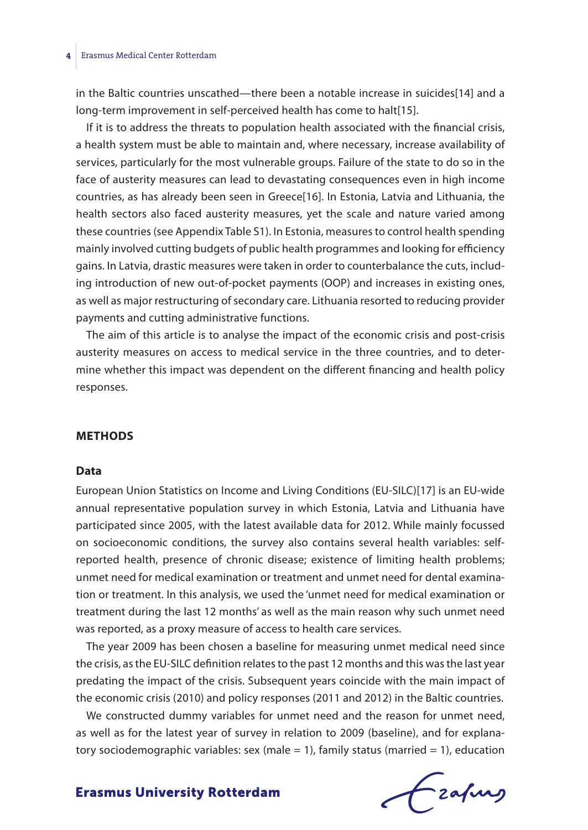#### **4** Erasmus Medical Center Rotterdam

in the Baltic countries unscathed—there been a notable increase in suicides[14] and a long-term improvement in self-perceived health has come to halt[15].

If it is to address the threats to population health associated with the financial crisis, a health system must be able to maintain and, where necessary, increase availability of services, particularly for the most vulnerable groups. Failure of the state to do so in the face of austerity measures can lead to devastating consequences even in high income countries, as has already been seen in Greece[16]. In Estonia, Latvia and Lithuania, the health sectors also faced austerity measures, yet the scale and nature varied among these countries (see Appendix Table S1). In Estonia, measures to control health spending mainly involved cutting budgets of public health programmes and looking for efficiency gains. In Latvia, drastic measures were taken in order to counterbalance the cuts, including introduction of new out-of-pocket payments (OOP) and increases in existing ones, as well as major restructuring of secondary care. Lithuania resorted to reducing provider payments and cutting administrative functions.

The aim of this article is to analyse the impact of the economic crisis and post-crisis austerity measures on access to medical service in the three countries, and to determine whether this impact was dependent on the different financing and health policy responses.

#### **Methods**

#### **Data**

European Union Statistics on Income and Living Conditions (EU-SILC)[17] is an EU-wide annual representative population survey in which Estonia, Latvia and Lithuania have participated since 2005, with the latest available data for 2012. While mainly focussed on socioeconomic conditions, the survey also contains several health variables: selfreported health, presence of chronic disease; existence of limiting health problems; unmet need for medical examination or treatment and unmet need for dental examination or treatment. In this analysis, we used the 'unmet need for medical examination or treatment during the last 12 months' as well as the main reason why such unmet need was reported, as a proxy measure of access to health care services.

The year 2009 has been chosen a baseline for measuring unmet medical need since the crisis, as the EU-SILC definition relates to the past 12 months and this was the last year predating the impact of the crisis. Subsequent years coincide with the main impact of the economic crisis (2010) and policy responses (2011 and 2012) in the Baltic countries.

We constructed dummy variables for unmet need and the reason for unmet need, as well as for the latest year of survey in relation to 2009 (baseline), and for explanatory sociodemographic variables: sex (male = 1), family status (married = 1), education

frafing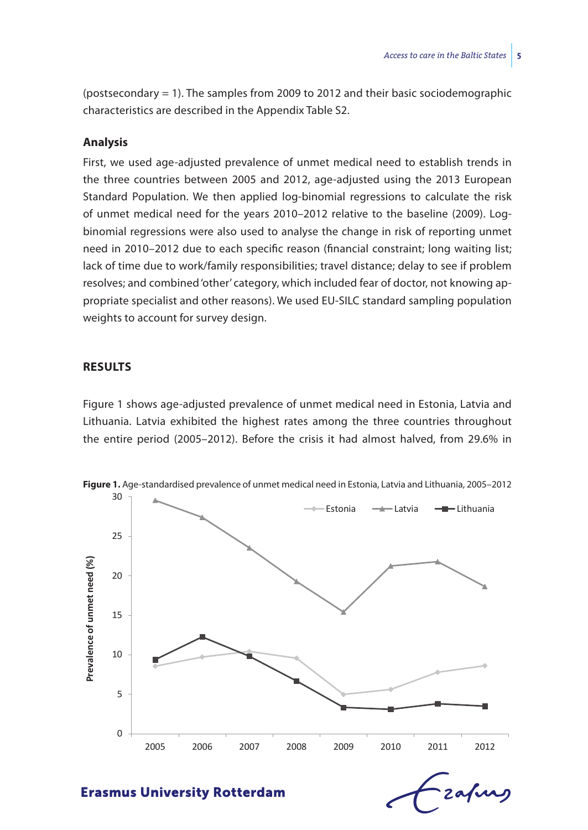(postsecondary = 1). The samples from 2009 to 2012 and their basic sociodemographic characteristics are described in the Appendix Table S2.

#### **Analysis**

First, we used age-adjusted prevalence of unmet medical need to establish trends in the three countries between 2005 and 2012, age-adjusted using the 2013 European Standard Population. We then applied log-binomial regressions to calculate the risk of unmet medical need for the years 2010–2012 relative to the baseline (2009). Logbinomial regressions were also used to analyse the change in risk of reporting unmet need in 2010–2012 due to each specific reason (financial constraint; long waiting list; lack of time due to work/family responsibilities; travel distance; delay to see if problem resolves; and combined 'other' category, which included fear of doctor, not knowing appropriate specialist and other reasons). We used EU-SILC standard sampling population weights to account for survey design.

#### **Results**

Figure 1 shows age-adjusted prevalence of unmet medical need in Estonia, Latvia and Lithuania. Latvia exhibited the highest rates among the three countries throughout the entire period (2005–2012). Before the crisis it had almost halved, from 29.6% in



zafung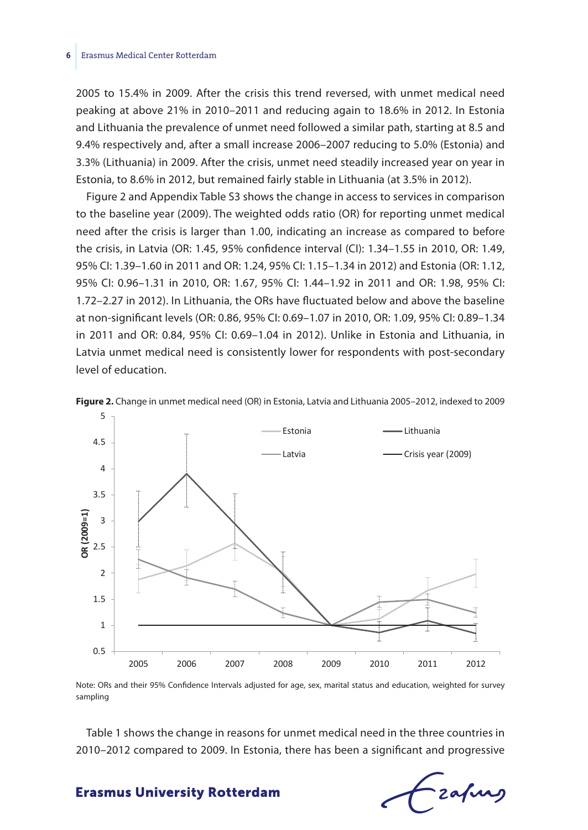2005 to 15.4% in 2009. After the crisis this trend reversed, with unmet medical need peaking at above 21% in 2010–2011 and reducing again to 18.6% in 2012. In Estonia and Lithuania the prevalence of unmet need followed a similar path, starting at 8.5 and 9.4% respectively and, after a small increase 2006–2007 reducing to 5.0% (Estonia) and 3.3% (Lithuania) in 2009. After the crisis, unmet need steadily increased year on year in Estonia, to 8.6% in 2012, but remained fairly stable in Lithuania (at 3.5% in 2012).

Figure 2 and Appendix Table S3 shows the change in access to services in comparison to the baseline year (2009). The weighted odds ratio (OR) for reporting unmet medical need after the crisis is larger than 1.00, indicating an increase as compared to before the crisis, in Latvia (OR: 1.45, 95% confidence interval (CI): 1.34–1.55 in 2010, OR: 1.49, 95% CI: 1.39–1.60 in 2011 and OR: 1.24, 95% CI: 1.15–1.34 in 2012) and Estonia (OR: 1.12, 95% CI: 0.96–1.31 in 2010, OR: 1.67, 95% CI: 1.44–1.92 in 2011 and OR: 1.98, 95% CI: 1.72–2.27 in 2012). In Lithuania, the ORs have fluctuated below and above the baseline at non-significant levels (OR: 0.86, 95% CI: 0.69–1.07 in 2010, OR: 1.09, 95% CI: 0.89–1.34 in 2011 and OR: 0.84, 95% CI: 0.69–1.04 in 2012). Unlike in Estonia and Lithuania, in Latvia unmet medical need is consistently lower for respondents with post-secondary level of education.





Note: ORs and their 95% Confidence Intervals adjusted for age, sex, marital status and education, weighted for survey sampling

Table 1 shows the change in reasons for unmet medical need in the three countries in 2010–2012 compared to 2009. In Estonia, there has been a significant and progressive

Fzafurg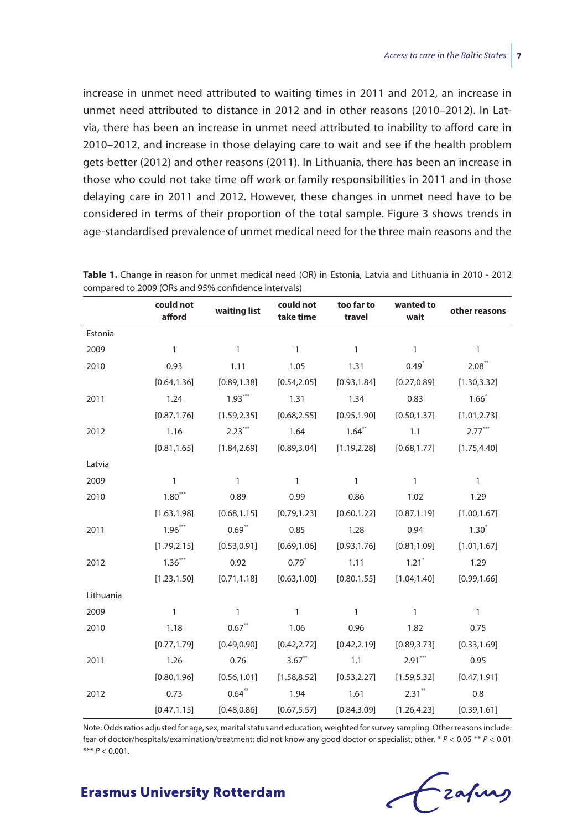increase in unmet need attributed to waiting times in 2011 and 2012, an increase in unmet need attributed to distance in 2012 and in other reasons (2010–2012). In Latvia, there has been an increase in unmet need attributed to inability to afford care in 2010–2012, and increase in those delaying care to wait and see if the health problem gets better (2012) and other reasons (2011). In Lithuania, there has been an increase in those who could not take time off work or family responsibilities in 2011 and in those delaying care in 2011 and 2012. However, these changes in unmet need have to be considered in terms of their proportion of the total sample. Figure 3 shows trends in age-standardised prevalence of unmet medical need for the three main reasons and the

|           | could not<br>afford | waiting list | could not<br>take time | too far to<br>travel | wanted to<br>wait   | other reasons |
|-----------|---------------------|--------------|------------------------|----------------------|---------------------|---------------|
| Estonia   |                     |              |                        |                      |                     |               |
| 2009      | $\mathbf{1}$        | $\mathbf{1}$ | $\mathbf{1}$           | $\mathbf{1}$         | $\mathbf{1}$        | $\mathbf{1}$  |
| 2010      | 0.93                | 1.11         | 1.05                   | 1.31                 | $0.49^{*}$          | 2.08"         |
|           | [0.64, 1.36]        | [0.89, 1.38] | [0.54, 2.05]           | [0.93, 1.84]         | [0.27, 0.89]        | [1.30, 3.32]  |
| 2011      | 1.24                | $1.93***$    | 1.31                   | 1.34                 | 0.83                | $1.66*$       |
|           | [0.87, 1.76]        | [1.59, 2.35] | [0.68, 2.55]           | [0.95, 1.90]         | [0.50, 1.37]        | [1.01, 2.73]  |
| 2012      | 1.16                | $2.23***$    | 1.64                   | $1.64$ **            | 1.1                 | $2.77***$     |
|           | [0.81, 1.65]        | [1.84, 2.69] | [0.89, 3.04]           | [1.19, 2.28]         | [0.68, 1.77]        | [1.75, 4.40]  |
| Latvia    |                     |              |                        |                      |                     |               |
| 2009      | 1                   | 1            | $\mathbf{1}$           | $\mathbf{1}$         | $\mathbf{1}$        | $\mathbf{1}$  |
| 2010      | $1.80***$           | 0.89         | 0.99                   | 0.86                 | 1.02                | 1.29          |
|           | [1.63, 1.98]        | [0.68, 1.15] | [0.79, 1.23]           | [0.60, 1.22]         | [0.87, 1.19]        | [1.00, 1.67]  |
| 2011      | $1.96***$           | $0.69**$     | 0.85                   | 1.28                 | 0.94                | $1.30*$       |
|           | [1.79, 2.15]        | [0.53, 0.91] | [0.69, 1.06]           | [0.93, 1.76]         | [0.81, 1.09]        | [1.01, 1.67]  |
| 2012      | $1.36***$           | 0.92         | $0.79^{*}$             | 1.11                 | $1.21$ <sup>*</sup> | 1.29          |
|           | [1.23, 1.50]        | [0.71, 1.18] | [0.63, 1.00]           | [0.80, 1.55]         | [1.04, 1.40]        | [0.99, 1.66]  |
| Lithuania |                     |              |                        |                      |                     |               |
| 2009      | $\mathbf{1}$        | 1            | $\mathbf{1}$           | $\mathbf{1}$         | $\mathbf{1}$        | $\mathbf{1}$  |
| 2010      | 1.18                | $0.67$ **    | 1.06                   | 0.96                 | 1.82                | 0.75          |
|           | [0.77, 1.79]        | [0.49, 0.90] | [0.42, 2.72]           | [0.42, 2.19]         | [0.89, 3.73]        | [0.33, 1.69]  |
| 2011      | 1.26                | 0.76         | $3.67$ **              | 1.1                  | $2.91***$           | 0.95          |
|           | [0.80, 1.96]        | [0.56, 1.01] | [1.58, 8.52]           | [0.53, 2.27]         | [1.59, 5.32]        | [0.47, 1.91]  |
| 2012      | 0.73                | $0.64$ **    | 1.94                   | 1.61                 | $2.31***$           | 0.8           |
|           | [0.47, 1.15]        | [0.48, 0.86] | [0.67, 5.57]           | [0.84, 3.09]         | [1.26, 4.23]        | [0.39, 1.61]  |

**Table 1.** Change in reason for unmet medical need (OR) in Estonia, Latvia and Lithuania in 2010 - 2012 compared to 2009 (ORs and 95% confidence intervals)

Note: Odds ratios adjusted for age, sex, marital status and education; weighted for survey sampling. Other reasons include: fear of doctor/hospitals/examination/treatment; did not know any good doctor or specialist; other. \* *P* < 0.05 \*\* *P* < 0.01 \*\*\*  $P < 0.001$ .

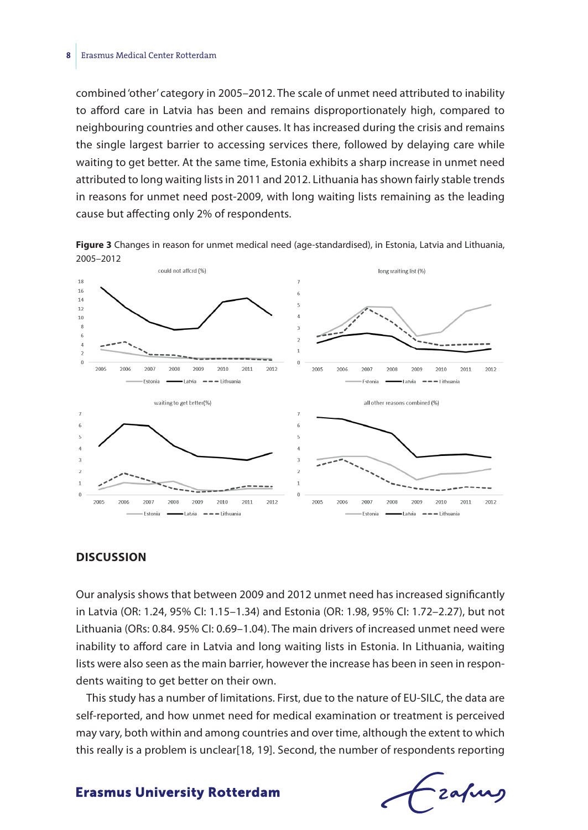#### **8** Erasmus Medical Center Rotterdam

combined 'other' category in 2005–2012. The scale of unmet need attributed to inability to afford care in Latvia has been and remains disproportionately high, compared to neighbouring countries and other causes. It has increased during the crisis and remains the single largest barrier to accessing services there, followed by delaying care while waiting to get better. At the same time, Estonia exhibits a sharp increase in unmet need attributed to long waiting lists in 2011 and 2012. Lithuania has shown fairly stable trends in reasons for unmet need post-2009, with long waiting lists remaining as the leading cause but affecting only 2% of respondents.

**Figure 3** Changes in reason for unmet medical need (age-standardised), in Estonia, Latvia and Lithuania, 2005–2012



#### **Discussion**

Our analysis shows that between 2009 and 2012 unmet need has increased significantly in Latvia (OR: 1.24, 95% CI: 1.15–1.34) and Estonia (OR: 1.98, 95% CI: 1.72–2.27), but not Lithuania (ORs: 0.84. 95% CI: 0.69–1.04). The main drivers of increased unmet need were inability to afford care in Latvia and long waiting lists in Estonia. In Lithuania, waiting lists were also seen as the main barrier, however the increase has been in seen in respondents waiting to get better on their own.

This study has a number of limitations. First, due to the nature of EU-SILC, the data are self-reported, and how unmet need for medical examination or treatment is perceived may vary, both within and among countries and over time, although the extent to which this really is a problem is unclear[18, 19]. Second, the number of respondents reporting

Fzafung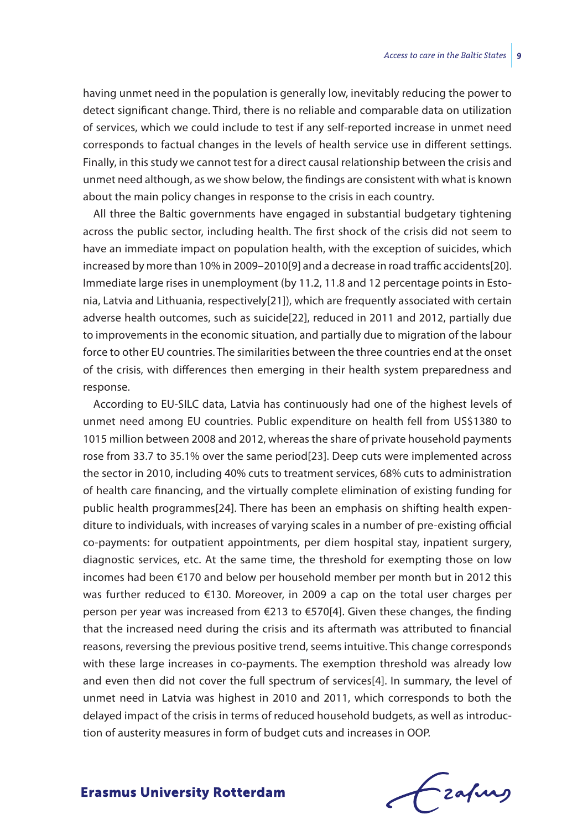having unmet need in the population is generally low, inevitably reducing the power to detect significant change. Third, there is no reliable and comparable data on utilization of services, which we could include to test if any self-reported increase in unmet need corresponds to factual changes in the levels of health service use in different settings. Finally, in this study we cannot test for a direct causal relationship between the crisis and unmet need although, as we show below, the findings are consistent with what is known about the main policy changes in response to the crisis in each country.

All three the Baltic governments have engaged in substantial budgetary tightening across the public sector, including health. The first shock of the crisis did not seem to have an immediate impact on population health, with the exception of suicides, which increased by more than 10% in 2009–2010[9] and a decrease in road traffic accidents[20]. Immediate large rises in unemployment (by 11.2, 11.8 and 12 percentage points in Estonia, Latvia and Lithuania, respectively[21]), which are frequently associated with certain adverse health outcomes, such as suicide[22], reduced in 2011 and 2012, partially due to improvements in the economic situation, and partially due to migration of the labour force to other EU countries. The similarities between the three countries end at the onset of the crisis, with differences then emerging in their health system preparedness and response.

According to EU-SILC data, Latvia has continuously had one of the highest levels of unmet need among EU countries. Public expenditure on health fell from US\$1380 to 1015 million between 2008 and 2012, whereas the share of private household payments rose from 33.7 to 35.1% over the same period[23]. Deep cuts were implemented across the sector in 2010, including 40% cuts to treatment services, 68% cuts to administration of health care financing, and the virtually complete elimination of existing funding for public health programmes[24]. There has been an emphasis on shifting health expenditure to individuals, with increases of varying scales in a number of pre-existing official co-payments: for outpatient appointments, per diem hospital stay, inpatient surgery, diagnostic services, etc. At the same time, the threshold for exempting those on low incomes had been €170 and below per household member per month but in 2012 this was further reduced to €130. Moreover, in 2009 a cap on the total user charges per person per year was increased from €213 to €570[4]. Given these changes, the finding that the increased need during the crisis and its aftermath was attributed to financial reasons, reversing the previous positive trend, seems intuitive. This change corresponds with these large increases in co-payments. The exemption threshold was already low and even then did not cover the full spectrum of services[4]. In summary, the level of unmet need in Latvia was highest in 2010 and 2011, which corresponds to both the delayed impact of the crisis in terms of reduced household budgets, as well as introduction of austerity measures in form of budget cuts and increases in OOP.

Czafurg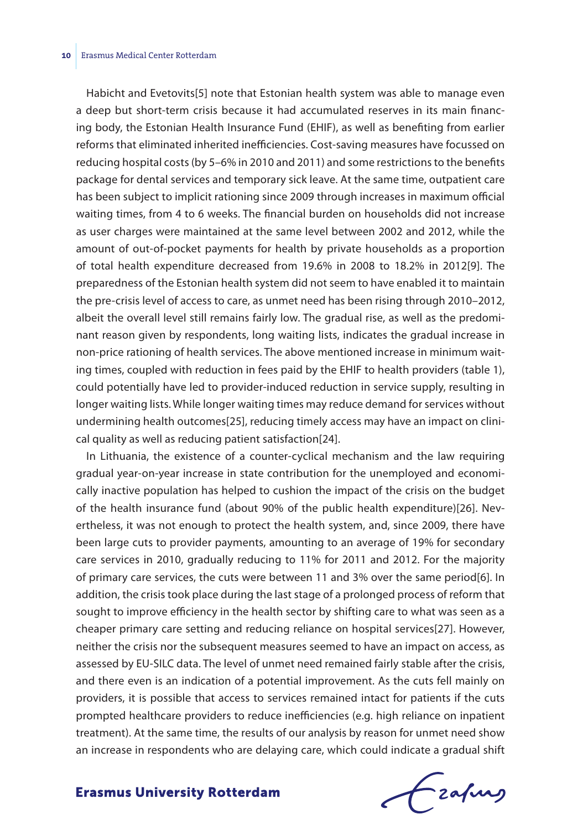Habicht and Evetovits[5] note that Estonian health system was able to manage even a deep but short-term crisis because it had accumulated reserves in its main financing body, the Estonian Health Insurance Fund (EHIF), as well as benefiting from earlier reforms that eliminated inherited inefficiencies. Cost-saving measures have focussed on reducing hospital costs (by 5–6% in 2010 and 2011) and some restrictions to the benefits package for dental services and temporary sick leave. At the same time, outpatient care has been subject to implicit rationing since 2009 through increases in maximum official waiting times, from 4 to 6 weeks. The financial burden on households did not increase as user charges were maintained at the same level between 2002 and 2012, while the amount of out-of-pocket payments for health by private households as a proportion of total health expenditure decreased from 19.6% in 2008 to 18.2% in 2012[9]. The preparedness of the Estonian health system did not seem to have enabled it to maintain the pre-crisis level of access to care, as unmet need has been rising through 2010–2012, albeit the overall level still remains fairly low. The gradual rise, as well as the predominant reason given by respondents, long waiting lists, indicates the gradual increase in non-price rationing of health services. The above mentioned increase in minimum waiting times, coupled with reduction in fees paid by the EHIF to health providers (table 1), could potentially have led to provider-induced reduction in service supply, resulting in longer waiting lists. While longer waiting times may reduce demand for services without undermining health outcomes[25], reducing timely access may have an impact on clinical quality as well as reducing patient satisfaction[24].

In Lithuania, the existence of a counter-cyclical mechanism and the law requiring gradual year-on-year increase in state contribution for the unemployed and economically inactive population has helped to cushion the impact of the crisis on the budget of the health insurance fund (about 90% of the public health expenditure)[26]. Nevertheless, it was not enough to protect the health system, and, since 2009, there have been large cuts to provider payments, amounting to an average of 19% for secondary care services in 2010, gradually reducing to 11% for 2011 and 2012. For the majority of primary care services, the cuts were between 11 and 3% over the same period[6]. In addition, the crisis took place during the last stage of a prolonged process of reform that sought to improve efficiency in the health sector by shifting care to what was seen as a cheaper primary care setting and reducing reliance on hospital services[27]. However, neither the crisis nor the subsequent measures seemed to have an impact on access, as assessed by EU-SILC data. The level of unmet need remained fairly stable after the crisis, and there even is an indication of a potential improvement. As the cuts fell mainly on providers, it is possible that access to services remained intact for patients if the cuts prompted healthcare providers to reduce inefficiencies (e.g. high reliance on inpatient treatment). At the same time, the results of our analysis by reason for unmet need show an increase in respondents who are delaying care, which could indicate a gradual shift

frafing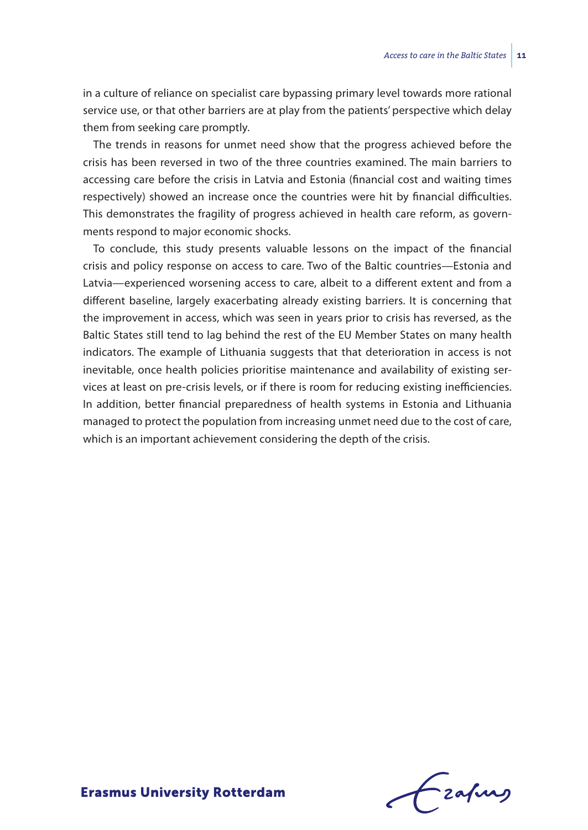in a culture of reliance on specialist care bypassing primary level towards more rational service use, or that other barriers are at play from the patients' perspective which delay them from seeking care promptly.

The trends in reasons for unmet need show that the progress achieved before the crisis has been reversed in two of the three countries examined. The main barriers to accessing care before the crisis in Latvia and Estonia (financial cost and waiting times respectively) showed an increase once the countries were hit by financial difficulties. This demonstrates the fragility of progress achieved in health care reform, as governments respond to major economic shocks.

To conclude, this study presents valuable lessons on the impact of the financial crisis and policy response on access to care. Two of the Baltic countries—Estonia and Latvia—experienced worsening access to care, albeit to a different extent and from a different baseline, largely exacerbating already existing barriers. It is concerning that the improvement in access, which was seen in years prior to crisis has reversed, as the Baltic States still tend to lag behind the rest of the EU Member States on many health indicators. The example of Lithuania suggests that that deterioration in access is not inevitable, once health policies prioritise maintenance and availability of existing services at least on pre-crisis levels, or if there is room for reducing existing inefficiencies. In addition, better financial preparedness of health systems in Estonia and Lithuania managed to protect the population from increasing unmet need due to the cost of care, which is an important achievement considering the depth of the crisis.

frafing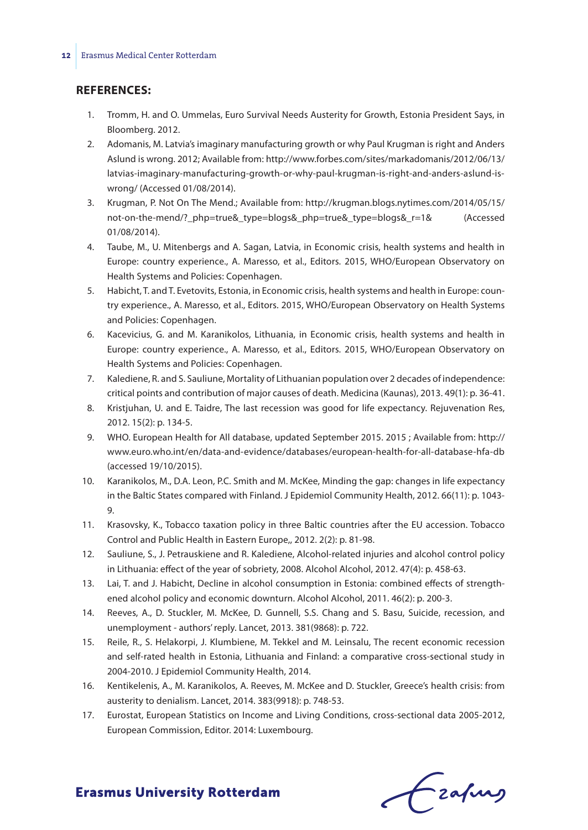#### **References:**

- 1. Tromm, H. and O. Ummelas, Euro Survival Needs Austerity for Growth, Estonia President Says, in Bloomberg. 2012.
- 2. Adomanis, M. Latvia's imaginary manufacturing growth or why Paul Krugman is right and Anders Aslund is wrong. 2012; Available from: http://www.forbes.com/sites/markadomanis/2012/06/13/ latvias-imaginary-manufacturing-growth-or-why-paul-krugman-is-right-and-anders-aslund-iswrong/ (Accessed 01/08/2014).
- 3. Krugman, P. Not On The Mend.; Available from: http://krugman.blogs.nytimes.com/2014/05/15/ not-on-the-mend/?\_php=true&\_type=blogs&\_php=true&\_type=blogs&\_r=1& (Accessed 01/08/2014).
- 4. Taube, M., U. Mitenbergs and A. Sagan, Latvia, in Economic crisis, health systems and health in Europe: country experience., A. Maresso, et al., Editors. 2015, WHO/European Observatory on Health Systems and Policies: Copenhagen.
- 5. Habicht, T. and T. Evetovits, Estonia, in Economic crisis, health systems and health in Europe: country experience., A. Maresso, et al., Editors. 2015, WHO/European Observatory on Health Systems and Policies: Copenhagen.
- 6. Kacevicius, G. and M. Karanikolos, Lithuania, in Economic crisis, health systems and health in Europe: country experience., A. Maresso, et al., Editors. 2015, WHO/European Observatory on Health Systems and Policies: Copenhagen.
- 7. Kalediene, R. and S. Sauliune, Mortality of Lithuanian population over 2 decades of independence: critical points and contribution of major causes of death. Medicina (Kaunas), 2013. 49(1): p. 36-41.
- 8. Kristjuhan, U. and E. Taidre, The last recession was good for life expectancy. Rejuvenation Res, 2012. 15(2): p. 134-5.
- 9. WHO. European Health for All database, updated September 2015. 2015 ; Available from: http:// www.euro.who.int/en/data-and-evidence/databases/european-health-for-all-database-hfa-db (accessed 19/10/2015).
- 10. Karanikolos, M., D.A. Leon, P.C. Smith and M. McKee, Minding the gap: changes in life expectancy in the Baltic States compared with Finland. J Epidemiol Community Health, 2012. 66(11): p. 1043- 9.
- 11. Krasovsky, K., Tobacco taxation policy in three Baltic countries after the EU accession. Tobacco Control and Public Health in Eastern Europe,, 2012. 2(2): p. 81-98.
- 12. Sauliune, S., J. Petrauskiene and R. Kalediene, Alcohol-related injuries and alcohol control policy in Lithuania: effect of the year of sobriety, 2008. Alcohol Alcohol, 2012. 47(4): p. 458-63.
- 13. Lai, T. and J. Habicht, Decline in alcohol consumption in Estonia: combined effects of strengthened alcohol policy and economic downturn. Alcohol Alcohol, 2011. 46(2): p. 200-3.
- 14. Reeves, A., D. Stuckler, M. McKee, D. Gunnell, S.S. Chang and S. Basu, Suicide, recession, and unemployment - authors' reply. Lancet, 2013. 381(9868): p. 722.
- 15. Reile, R., S. Helakorpi, J. Klumbiene, M. Tekkel and M. Leinsalu, The recent economic recession and self-rated health in Estonia, Lithuania and Finland: a comparative cross-sectional study in 2004-2010. J Epidemiol Community Health, 2014.
- 16. Kentikelenis, A., M. Karanikolos, A. Reeves, M. McKee and D. Stuckler, Greece's health crisis: from austerity to denialism. Lancet, 2014. 383(9918): p. 748-53.
- 17. Eurostat, European Statistics on Income and Living Conditions, cross-sectional data 2005-2012, European Commission, Editor. 2014: Luxembourg.

Czafing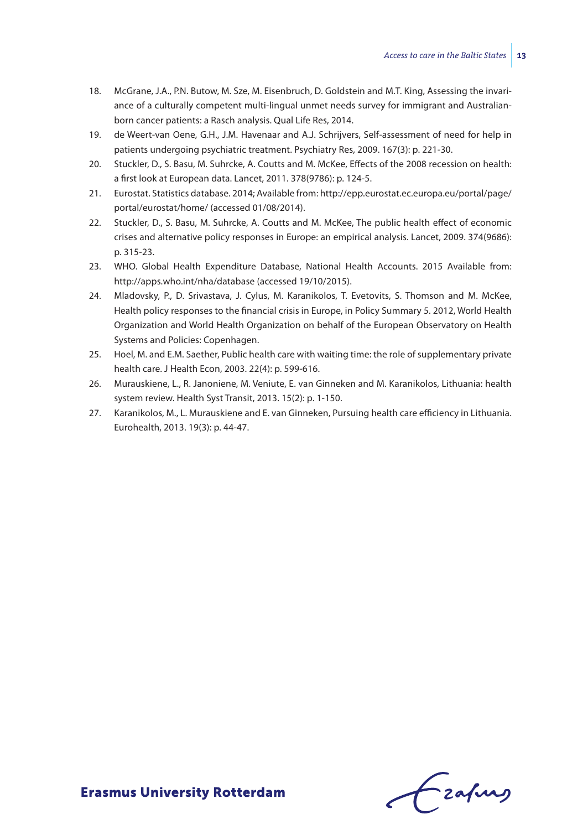- 18. McGrane, J.A., P.N. Butow, M. Sze, M. Eisenbruch, D. Goldstein and M.T. King, Assessing the invariance of a culturally competent multi-lingual unmet needs survey for immigrant and Australianborn cancer patients: a Rasch analysis. Qual Life Res, 2014.
- 19. de Weert-van Oene, G.H., J.M. Havenaar and A.J. Schrijvers, Self-assessment of need for help in patients undergoing psychiatric treatment. Psychiatry Res, 2009. 167(3): p. 221-30.
- 20. Stuckler, D., S. Basu, M. Suhrcke, A. Coutts and M. McKee, Effects of the 2008 recession on health: a first look at European data. Lancet, 2011. 378(9786): p. 124-5.
- 21. Eurostat. Statistics database. 2014; Available from: http://epp.eurostat.ec.europa.eu/portal/page/ portal/eurostat/home/ (accessed 01/08/2014).
- 22. Stuckler, D., S. Basu, M. Suhrcke, A. Coutts and M. McKee, The public health effect of economic crises and alternative policy responses in Europe: an empirical analysis. Lancet, 2009. 374(9686): p. 315-23.
- 23. WHO. Global Health Expenditure Database, National Health Accounts. 2015 Available from: http://apps.who.int/nha/database (accessed 19/10/2015).
- 24. Mladovsky, P., D. Srivastava, J. Cylus, M. Karanikolos, T. Evetovits, S. Thomson and M. McKee, Health policy responses to the financial crisis in Europe, in Policy Summary 5. 2012, World Health Organization and World Health Organization on behalf of the European Observatory on Health Systems and Policies: Copenhagen.
- 25. Hoel, M. and E.M. Saether, Public health care with waiting time: the role of supplementary private health care. J Health Econ, 2003. 22(4): p. 599-616.
- 26. Murauskiene, L., R. Janoniene, M. Veniute, E. van Ginneken and M. Karanikolos, Lithuania: health system review. Health Syst Transit, 2013. 15(2): p. 1-150.
- 27. Karanikolos, M., L. Murauskiene and E. van Ginneken, Pursuing health care efficiency in Lithuania. Eurohealth, 2013. 19(3): p. 44-47.

Frahing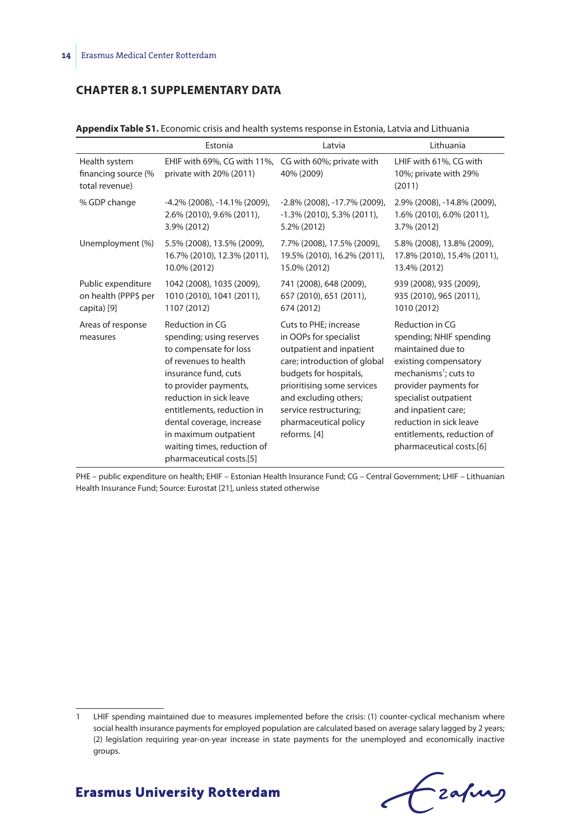## **CHAPTER 8.1 SUPPLEMENTARY DATA**

|                                                        | Estonia                                                                                                                                                                                                                                                                                                                   | Latvia                                                                                                                                                                                                                                                          | Lithuania                                                                                                                                                                                                                                                                                   |
|--------------------------------------------------------|---------------------------------------------------------------------------------------------------------------------------------------------------------------------------------------------------------------------------------------------------------------------------------------------------------------------------|-----------------------------------------------------------------------------------------------------------------------------------------------------------------------------------------------------------------------------------------------------------------|---------------------------------------------------------------------------------------------------------------------------------------------------------------------------------------------------------------------------------------------------------------------------------------------|
| Health system<br>financing source (%<br>total revenue) | EHIF with 69%, CG with 11%,<br>private with 20% (2011)                                                                                                                                                                                                                                                                    | CG with 60%; private with<br>40% (2009)                                                                                                                                                                                                                         | LHIF with 61%, CG with<br>10%; private with 29%<br>(2011)                                                                                                                                                                                                                                   |
| % GDP change                                           | $-4.2\%$ (2008), $-14.1\%$ (2009),                                                                                                                                                                                                                                                                                        | $-2.8\%$ (2008), $-17.7\%$ (2009),                                                                                                                                                                                                                              | 2.9% (2008), -14.8% (2009),                                                                                                                                                                                                                                                                 |
|                                                        | 2.6% (2010), 9.6% (2011),                                                                                                                                                                                                                                                                                                 | $-1.3\%$ (2010), 5.3% (2011),                                                                                                                                                                                                                                   | 1.6% (2010), 6.0% (2011),                                                                                                                                                                                                                                                                   |
|                                                        | 3.9% (2012)                                                                                                                                                                                                                                                                                                               | 5.2% (2012)                                                                                                                                                                                                                                                     | 3.7% (2012)                                                                                                                                                                                                                                                                                 |
| Unemployment (%)                                       | 5.5% (2008), 13.5% (2009),                                                                                                                                                                                                                                                                                                | 7.7% (2008), 17.5% (2009),                                                                                                                                                                                                                                      | 5.8% (2008), 13.8% (2009),                                                                                                                                                                                                                                                                  |
|                                                        | 16.7% (2010), 12.3% (2011),                                                                                                                                                                                                                                                                                               | 19.5% (2010), 16.2% (2011),                                                                                                                                                                                                                                     | 17.8% (2010), 15.4% (2011),                                                                                                                                                                                                                                                                 |
|                                                        | 10.0% (2012)                                                                                                                                                                                                                                                                                                              | 15.0% (2012)                                                                                                                                                                                                                                                    | 13.4% (2012)                                                                                                                                                                                                                                                                                |
| Public expenditure                                     | 1042 (2008), 1035 (2009),                                                                                                                                                                                                                                                                                                 | 741 (2008), 648 (2009),                                                                                                                                                                                                                                         | 939 (2008), 935 (2009),                                                                                                                                                                                                                                                                     |
| on health (PPP\$ per                                   | 1010 (2010), 1041 (2011),                                                                                                                                                                                                                                                                                                 | 657 (2010), 651 (2011),                                                                                                                                                                                                                                         | 935 (2010), 965 (2011),                                                                                                                                                                                                                                                                     |
| capita) [9]                                            | 1107 (2012)                                                                                                                                                                                                                                                                                                               | 674 (2012)                                                                                                                                                                                                                                                      | 1010 (2012)                                                                                                                                                                                                                                                                                 |
| Areas of response<br>measures                          | Reduction in CG<br>spending; using reserves<br>to compensate for loss<br>of revenues to health<br>insurance fund, cuts<br>to provider payments,<br>reduction in sick leave<br>entitlements, reduction in<br>dental coverage, increase<br>in maximum outpatient<br>waiting times, reduction of<br>pharmaceutical costs.[5] | Cuts to PHE; increase<br>in OOPs for specialist<br>outpatient and inpatient<br>care; introduction of global<br>budgets for hospitals,<br>prioritising some services<br>and excluding others;<br>service restructuring;<br>pharmaceutical policy<br>reforms. [4] | Reduction in CG<br>spending; NHIF spending<br>maintained due to<br>existing compensatory<br>mechanisms <sup>1</sup> ; cuts to<br>provider payments for<br>specialist outpatient<br>and inpatient care;<br>reduction in sick leave<br>entitlements, reduction of<br>pharmaceutical costs.[6] |

**Appendix Table S1.** Economic crisis and health systems response in Estonia, Latvia and Lithuania

PHE – public expenditure on health; EHIF – Estonian Health Insurance Fund; CG – Central Government; LHIF – Lithuanian Health Insurance Fund; Source: Eurostat [21], unless stated otherwise

Grafing

<sup>1</sup> LHIF spending maintained due to measures implemented before the crisis: (1) counter-cyclical mechanism where social health insurance payments for employed population are calculated based on average salary lagged by 2 years; (2) legislation requiring year-on-year increase in state payments for the unemployed and economically inactive groups.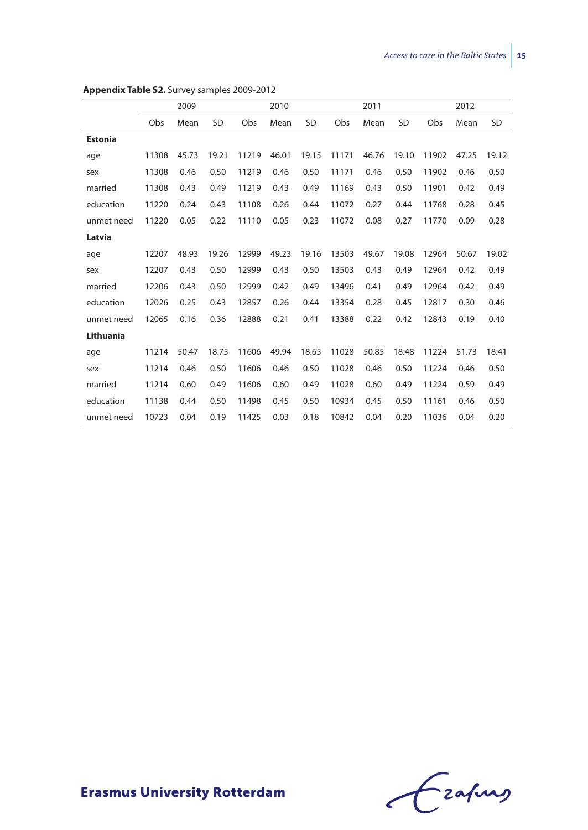|                |       | 2009  |           |       | 2010  |           |       | 2011  |           |       | 2012  |           |
|----------------|-------|-------|-----------|-------|-------|-----------|-------|-------|-----------|-------|-------|-----------|
|                |       |       |           |       |       |           |       |       |           |       |       |           |
|                | Obs   | Mean  | <b>SD</b> | Obs   | Mean  | <b>SD</b> | Obs   | Mean  | <b>SD</b> | Obs   | Mean  | <b>SD</b> |
| <b>Estonia</b> |       |       |           |       |       |           |       |       |           |       |       |           |
| age            | 11308 | 45.73 | 19.21     | 11219 | 46.01 | 19.15     | 11171 | 46.76 | 19.10     | 11902 | 47.25 | 19.12     |
| sex            | 11308 | 0.46  | 0.50      | 11219 | 0.46  | 0.50      | 11171 | 0.46  | 0.50      | 11902 | 0.46  | 0.50      |
| married        | 11308 | 0.43  | 0.49      | 11219 | 0.43  | 0.49      | 11169 | 0.43  | 0.50      | 11901 | 0.42  | 0.49      |
| education      | 11220 | 0.24  | 0.43      | 11108 | 0.26  | 0.44      | 11072 | 0.27  | 0.44      | 11768 | 0.28  | 0.45      |
| unmet need     | 11220 | 0.05  | 0.22      | 11110 | 0.05  | 0.23      | 11072 | 0.08  | 0.27      | 11770 | 0.09  | 0.28      |
| Latvia         |       |       |           |       |       |           |       |       |           |       |       |           |
| age            | 12207 | 48.93 | 19.26     | 12999 | 49.23 | 19.16     | 13503 | 49.67 | 19.08     | 12964 | 50.67 | 19.02     |
| sex            | 12207 | 0.43  | 0.50      | 12999 | 0.43  | 0.50      | 13503 | 0.43  | 0.49      | 12964 | 0.42  | 0.49      |
| married        | 12206 | 0.43  | 0.50      | 12999 | 0.42  | 0.49      | 13496 | 0.41  | 0.49      | 12964 | 0.42  | 0.49      |
| education      | 12026 | 0.25  | 0.43      | 12857 | 0.26  | 0.44      | 13354 | 0.28  | 0.45      | 12817 | 0.30  | 0.46      |
| unmet need     | 12065 | 0.16  | 0.36      | 12888 | 0.21  | 0.41      | 13388 | 0.22  | 0.42      | 12843 | 0.19  | 0.40      |
| Lithuania      |       |       |           |       |       |           |       |       |           |       |       |           |
| age            | 11214 | 50.47 | 18.75     | 11606 | 49.94 | 18.65     | 11028 | 50.85 | 18.48     | 11224 | 51.73 | 18.41     |
| sex            | 11214 | 0.46  | 0.50      | 11606 | 0.46  | 0.50      | 11028 | 0.46  | 0.50      | 11224 | 0.46  | 0.50      |
| married        | 11214 | 0.60  | 0.49      | 11606 | 0.60  | 0.49      | 11028 | 0.60  | 0.49      | 11224 | 0.59  | 0.49      |
| education      | 11138 | 0.44  | 0.50      | 11498 | 0.45  | 0.50      | 10934 | 0.45  | 0.50      | 11161 | 0.46  | 0.50      |
| unmet need     | 10723 | 0.04  | 0.19      | 11425 | 0.03  | 0.18      | 10842 | 0.04  | 0.20      | 11036 | 0.04  | 0.20      |

#### **Appendix Table S2.** Survey samples 2009-2012

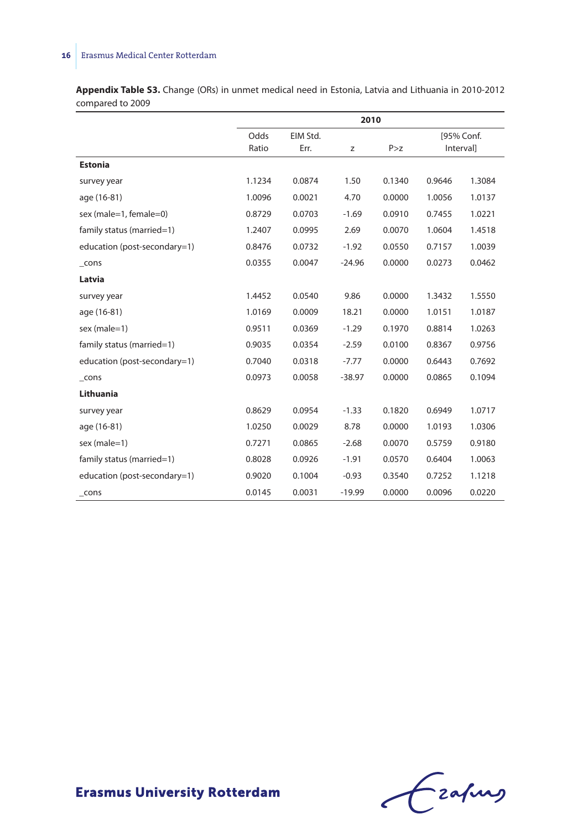## **16** Erasmus Medical Center Rotterdam

**Appendix Table S3.** Change (ORs) in unmet medical need in Estonia, Latvia and Lithuania in 2010-2012 compared to 2009

|                              | 2010   |          |          |        |            |        |
|------------------------------|--------|----------|----------|--------|------------|--------|
|                              | Odds   | EIM Std. |          |        | [95% Conf. |        |
|                              | Ratio  | Err.     | z        | P > z  | Interval]  |        |
| <b>Estonia</b>               |        |          |          |        |            |        |
| survey year                  | 1.1234 | 0.0874   | 1.50     | 0.1340 | 0.9646     | 1.3084 |
| age (16-81)                  | 1.0096 | 0.0021   | 4.70     | 0.0000 | 1.0056     | 1.0137 |
| sex (male=1, female=0)       | 0.8729 | 0.0703   | $-1.69$  | 0.0910 | 0.7455     | 1.0221 |
| family status (married=1)    | 1.2407 | 0.0995   | 2.69     | 0.0070 | 1.0604     | 1.4518 |
| education (post-secondary=1) | 0.8476 | 0.0732   | $-1.92$  | 0.0550 | 0.7157     | 1.0039 |
| $_{\text{-} \text{cons}}$    | 0.0355 | 0.0047   | $-24.96$ | 0.0000 | 0.0273     | 0.0462 |
| Latvia                       |        |          |          |        |            |        |
| survey year                  | 1.4452 | 0.0540   | 9.86     | 0.0000 | 1.3432     | 1.5550 |
| age (16-81)                  | 1.0169 | 0.0009   | 18.21    | 0.0000 | 1.0151     | 1.0187 |
| sex (male=1)                 | 0.9511 | 0.0369   | $-1.29$  | 0.1970 | 0.8814     | 1.0263 |
| family status (married=1)    | 0.9035 | 0.0354   | $-2.59$  | 0.0100 | 0.8367     | 0.9756 |
| education (post-secondary=1) | 0.7040 | 0.0318   | $-7.77$  | 0.0000 | 0.6443     | 0.7692 |
| $_{\text{-} \text{cons}}$    | 0.0973 | 0.0058   | $-38.97$ | 0.0000 | 0.0865     | 0.1094 |
| Lithuania                    |        |          |          |        |            |        |
| survey year                  | 0.8629 | 0.0954   | $-1.33$  | 0.1820 | 0.6949     | 1.0717 |
| age (16-81)                  | 1.0250 | 0.0029   | 8.78     | 0.0000 | 1.0193     | 1.0306 |
| sex (male=1)                 | 0.7271 | 0.0865   | $-2.68$  | 0.0070 | 0.5759     | 0.9180 |
| family status (married=1)    | 0.8028 | 0.0926   | $-1.91$  | 0.0570 | 0.6404     | 1.0063 |
| education (post-secondary=1) | 0.9020 | 0.1004   | $-0.93$  | 0.3540 | 0.7252     | 1.1218 |
| cons                         | 0.0145 | 0.0031   | $-19.99$ | 0.0000 | 0.0096     | 0.0220 |

Czahny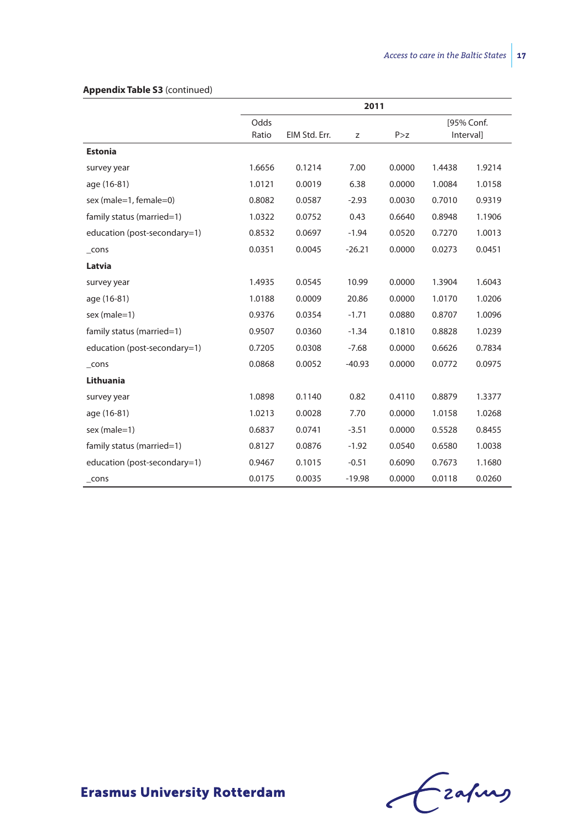|                              | 2011   |               |          |        |        |            |
|------------------------------|--------|---------------|----------|--------|--------|------------|
|                              | Odds   |               |          |        |        | [95% Conf. |
|                              | Ratio  | EIM Std. Err. | z        | P > z  |        | Intervall  |
| <b>Estonia</b>               |        |               |          |        |        |            |
| survey year                  | 1.6656 | 0.1214        | 7.00     | 0.0000 | 1.4438 | 1.9214     |
| age (16-81)                  | 1.0121 | 0.0019        | 6.38     | 0.0000 | 1.0084 | 1.0158     |
| sex (male=1, female=0)       | 0.8082 | 0.0587        | $-2.93$  | 0.0030 | 0.7010 | 0.9319     |
| family status (married=1)    | 1.0322 | 0.0752        | 0.43     | 0.6640 | 0.8948 | 1.1906     |
| education (post-secondary=1) | 0.8532 | 0.0697        | $-1.94$  | 0.0520 | 0.7270 | 1.0013     |
| $_{\rm \_cons}$              | 0.0351 | 0.0045        | $-26.21$ | 0.0000 | 0.0273 | 0.0451     |
| Latvia                       |        |               |          |        |        |            |
| survey year                  | 1.4935 | 0.0545        | 10.99    | 0.0000 | 1.3904 | 1.6043     |
| age (16-81)                  | 1.0188 | 0.0009        | 20.86    | 0.0000 | 1.0170 | 1.0206     |
| sex (male=1)                 | 0.9376 | 0.0354        | $-1.71$  | 0.0880 | 0.8707 | 1.0096     |
| family status (married=1)    | 0.9507 | 0.0360        | $-1.34$  | 0.1810 | 0.8828 | 1.0239     |
| education (post-secondary=1) | 0.7205 | 0.0308        | $-7.68$  | 0.0000 | 0.6626 | 0.7834     |
| $_{\rm \_cons}$              | 0.0868 | 0.0052        | $-40.93$ | 0.0000 | 0.0772 | 0.0975     |
| Lithuania                    |        |               |          |        |        |            |
| survey year                  | 1.0898 | 0.1140        | 0.82     | 0.4110 | 0.8879 | 1.3377     |
| age (16-81)                  | 1.0213 | 0.0028        | 7.70     | 0.0000 | 1.0158 | 1.0268     |
| sex (male=1)                 | 0.6837 | 0.0741        | $-3.51$  | 0.0000 | 0.5528 | 0.8455     |
| family status (married=1)    | 0.8127 | 0.0876        | $-1.92$  | 0.0540 | 0.6580 | 1.0038     |
| education (post-secondary=1) | 0.9467 | 0.1015        | $-0.51$  | 0.6090 | 0.7673 | 1.1680     |
| $_{\text{-} \text{cons}}$    | 0.0175 | 0.0035        | $-19.98$ | 0.0000 | 0.0118 | 0.0260     |

#### **Appendix Table S3** (continued)